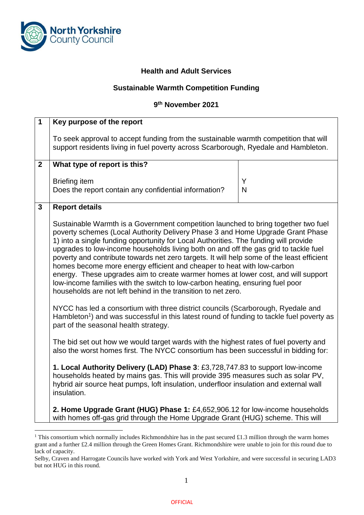

1

## **Health and Adult Services**

## **Sustainable Warmth Competition Funding**

## **9 th November 2021**

| $\overline{1}$ | Key purpose of the report                                                                                                                                                                                                                                                                                                                                                                                                                                                                                                                                                                                                                                                                                                                                          |        |
|----------------|--------------------------------------------------------------------------------------------------------------------------------------------------------------------------------------------------------------------------------------------------------------------------------------------------------------------------------------------------------------------------------------------------------------------------------------------------------------------------------------------------------------------------------------------------------------------------------------------------------------------------------------------------------------------------------------------------------------------------------------------------------------------|--------|
|                | To seek approval to accept funding from the sustainable warmth competition that will<br>support residents living in fuel poverty across Scarborough, Ryedale and Hambleton.                                                                                                                                                                                                                                                                                                                                                                                                                                                                                                                                                                                        |        |
| $\mathbf{2}$   | What type of report is this?                                                                                                                                                                                                                                                                                                                                                                                                                                                                                                                                                                                                                                                                                                                                       |        |
|                | <b>Briefing item</b><br>Does the report contain any confidential information?                                                                                                                                                                                                                                                                                                                                                                                                                                                                                                                                                                                                                                                                                      | Y<br>N |
| $\mathbf{3}$   | <b>Report details</b>                                                                                                                                                                                                                                                                                                                                                                                                                                                                                                                                                                                                                                                                                                                                              |        |
|                | Sustainable Warmth is a Government competition launched to bring together two fuel<br>poverty schemes (Local Authority Delivery Phase 3 and Home Upgrade Grant Phase<br>1) into a single funding opportunity for Local Authorities. The funding will provide<br>upgrades to low-income households living both on and off the gas grid to tackle fuel<br>poverty and contribute towards net zero targets. It will help some of the least efficient<br>homes become more energy efficient and cheaper to heat with low-carbon<br>energy. These upgrades aim to create warmer homes at lower cost, and will support<br>low-income families with the switch to low-carbon heating, ensuring fuel poor<br>households are not left behind in the transition to net zero. |        |
|                | NYCC has led a consortium with three district councils (Scarborough, Ryedale and<br>Hambleton <sup>1</sup> ) and was successful in this latest round of funding to tackle fuel poverty as<br>part of the seasonal health strategy.                                                                                                                                                                                                                                                                                                                                                                                                                                                                                                                                 |        |
|                | The bid set out how we would target wards with the highest rates of fuel poverty and<br>also the worst homes first. The NYCC consortium has been successful in bidding for:                                                                                                                                                                                                                                                                                                                                                                                                                                                                                                                                                                                        |        |
|                | 1. Local Authority Delivery (LAD) Phase 3: £3,728,747.83 to support low-income<br>households heated by mains gas. This will provide 395 measures such as solar PV,<br>hybrid air source heat pumps, loft insulation, underfloor insulation and external wall<br>insulation.                                                                                                                                                                                                                                                                                                                                                                                                                                                                                        |        |
|                | 2. Home Upgrade Grant (HUG) Phase 1: £4,652,906.12 for low-income households<br>with homes off-gas grid through the Home Upgrade Grant (HUG) scheme. This will                                                                                                                                                                                                                                                                                                                                                                                                                                                                                                                                                                                                     |        |

<sup>&</sup>lt;sup>1</sup> This consortium which normally includes Richmondshire has in the past secured £1.3 million through the warm homes grant and a further £2.4 million through the Green Homes Grant. Richmondshire were unable to join for this round due to lack of capacity.

Selby, Craven and Harrogate Councils have worked with York and West Yorkshire, and were successful in securing LAD3 but not HUG in this round.